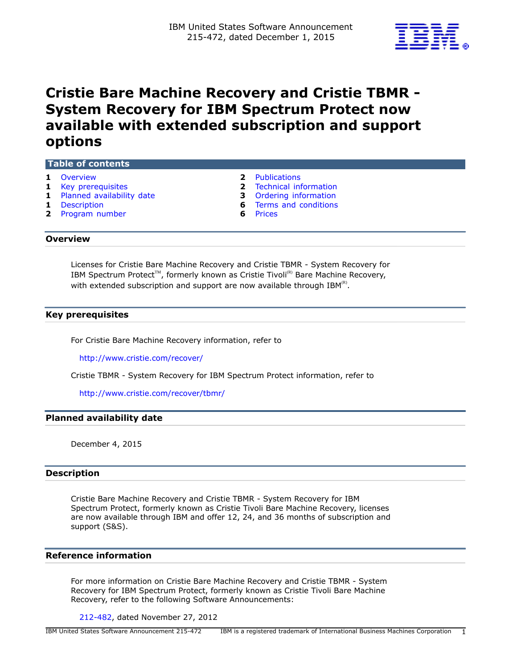

# **Cristie Bare Machine Recovery and Cristie TBMR - System Recovery for IBM Spectrum Protect now available with extended subscription and support options**

#### **Table of contents**

- **1** [Overview](#page-0-0) **2** [Publications](#page-1-0)
- 
- **1** [Planned availability date](#page-0-2) **3** [Ordering information](#page-2-0)
- 
- **2** [Program number](#page-1-2) **6** [Prices](#page-5-1)

- **1** [Key prerequisites](#page-0-1) **2** [Technical information](#page-1-1)
	-
- **1** [Description](#page-0-3) **6** [Terms and conditions](#page-5-0)
	-

#### <span id="page-0-0"></span>**Overview**

Licenses for Cristie Bare Machine Recovery and Cristie TBMR - System Recovery for IBM Spectrum Protect<sup>TM</sup>, formerly known as Cristie Tivoli<sup>(R)</sup> Bare Machine Recovery, with extended subscription and support are now available through IBM ${}^{\textrm{\tiny(R)}}.$ 

#### <span id="page-0-1"></span>**Key prerequisites**

For Cristie Bare Machine Recovery information, refer to

<http://www.cristie.com/recover/>

Cristie TBMR - System Recovery for IBM Spectrum Protect information, refer to

<http://www.cristie.com/recover/tbmr/>

#### <span id="page-0-2"></span>**Planned availability date**

December 4, 2015

#### <span id="page-0-3"></span>**Description**

Cristie Bare Machine Recovery and Cristie TBMR - System Recovery for IBM Spectrum Protect, formerly known as Cristie Tivoli Bare Machine Recovery, licenses are now available through IBM and offer 12, 24, and 36 months of subscription and support (S&S).

#### **Reference information**

For more information on Cristie Bare Machine Recovery and Cristie TBMR - System Recovery for IBM Spectrum Protect, formerly known as Cristie Tivoli Bare Machine Recovery, refer to the following Software Announcements:

[212-482](http://www.ibm.com/common/ssi/cgi-bin/ssialias?infotype=an&subtype=ca&appname=gpateam&supplier=897&letternum=ENUS212-482), dated November 27, 2012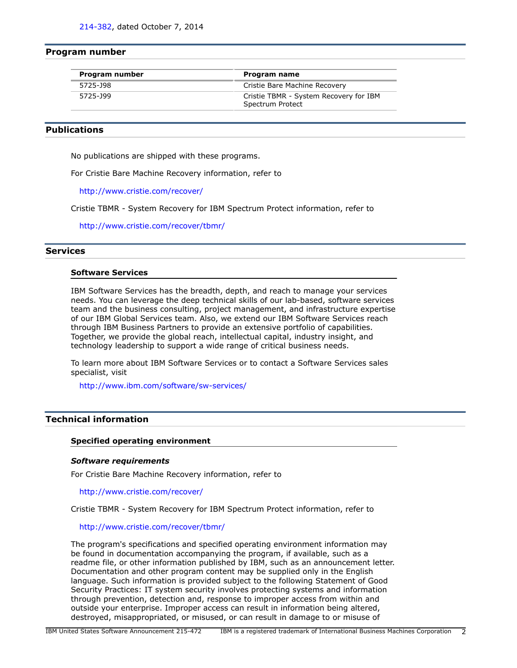#### <span id="page-1-2"></span>**Program number**

| Program number<br>Program name |                                                            |  |
|--------------------------------|------------------------------------------------------------|--|
| 5725-J98                       | Cristie Bare Machine Recovery                              |  |
| 5725-199                       | Cristie TBMR - System Recovery for IBM<br>Spectrum Protect |  |

### <span id="page-1-0"></span>**Publications**

No publications are shipped with these programs.

For Cristie Bare Machine Recovery information, refer to

<http://www.cristie.com/recover/>

Cristie TBMR - System Recovery for IBM Spectrum Protect information, refer to

<http://www.cristie.com/recover/tbmr/>

#### **Services**

#### **Software Services**

IBM Software Services has the breadth, depth, and reach to manage your services needs. You can leverage the deep technical skills of our lab-based, software services team and the business consulting, project management, and infrastructure expertise of our IBM Global Services team. Also, we extend our IBM Software Services reach through IBM Business Partners to provide an extensive portfolio of capabilities. Together, we provide the global reach, intellectual capital, industry insight, and technology leadership to support a wide range of critical business needs.

To learn more about IBM Software Services or to contact a Software Services sales specialist, visit

<http://www.ibm.com/software/sw-services/>

#### <span id="page-1-1"></span>**Technical information**

#### **Specified operating environment**

#### *Software requirements*

For Cristie Bare Machine Recovery information, refer to

<http://www.cristie.com/recover/>

Cristie TBMR - System Recovery for IBM Spectrum Protect information, refer to

#### <http://www.cristie.com/recover/tbmr/>

The program's specifications and specified operating environment information may be found in documentation accompanying the program, if available, such as a readme file, or other information published by IBM, such as an announcement letter. Documentation and other program content may be supplied only in the English language. Such information is provided subject to the following Statement of Good Security Practices: IT system security involves protecting systems and information through prevention, detection and, response to improper access from within and outside your enterprise. Improper access can result in information being altered, destroyed, misappropriated, or misused, or can result in damage to or misuse of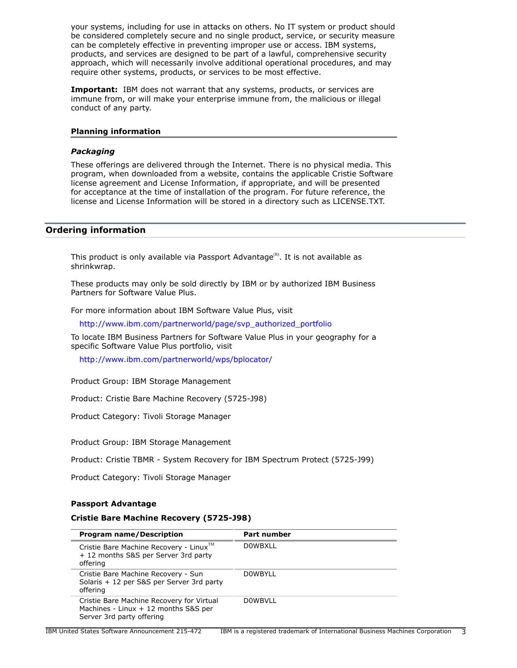your systems, including for use in attacks on others. No IT system or product should be considered completely secure and no single product, service, or security measure can be completely effective in preventing improper use or access. IBM systems, products, and services are designed to be part of a lawful, comprehensive security approach, which will necessarily involve additional operational procedures, and may require other systems, products, or services to be most effective.

**Important:** IBM does not warrant that any systems, products, or services are immune from, or will make your enterprise immune from, the malicious or illegal conduct of any party.

#### **Planning information**

#### *Packaging*

These offerings are delivered through the Internet. There is no physical media. This program, when downloaded from a website, contains the applicable Cristie Software license agreement and License Information, if appropriate, and will be presented for acceptance at the time of installation of the program. For future reference, the license and License Information will be stored in a directory such as LICENSE.TXT.

#### <span id="page-2-0"></span>**Ordering information**

This product is only available via Passport Advantage $R$ . It is not available as shrinkwrap.

These products may only be sold directly by IBM or by authorized IBM Business Partners for Software Value Plus.

For more information about IBM Software Value Plus, visit

[http://www.ibm.com/partnerworld/page/svp\\_authorized\\_portfolio](http://www.ibm.com/partnerworld/page/svp_authorized_portfolio)

To locate IBM Business Partners for Software Value Plus in your geography for a specific Software Value Plus portfolio, visit

<http://www.ibm.com/partnerworld/wps/bplocator/>

Product Group: IBM Storage Management

Product: Cristie Bare Machine Recovery (5725-J98)

Product Category: Tivoli Storage Manager

Product Group: IBM Storage Management

Product: Cristie TBMR - System Recovery for IBM Spectrum Protect (5725-J99)

Product Category: Tivoli Storage Manager

#### **Passport Advantage**

#### **Cristie Bare Machine Recovery (5725-J98)**

| <b>Program name/Description</b>                                                                                | <b>Part number</b> |
|----------------------------------------------------------------------------------------------------------------|--------------------|
| Cristie Bare Machine Recovery - Linux™<br>+ 12 months S&S per Server 3rd party<br>offering                     | <b>DOWBXLL</b>     |
| Cristie Bare Machine Recovery - Sun<br>Solaris + 12 per S&S per Server 3rd party<br>offering                   | <b>DOWBYLL</b>     |
| Cristie Bare Machine Recovery for Virtual<br>Machines - Linux + 12 months S&S per<br>Server 3rd party offering | <b>DOWBVLL</b>     |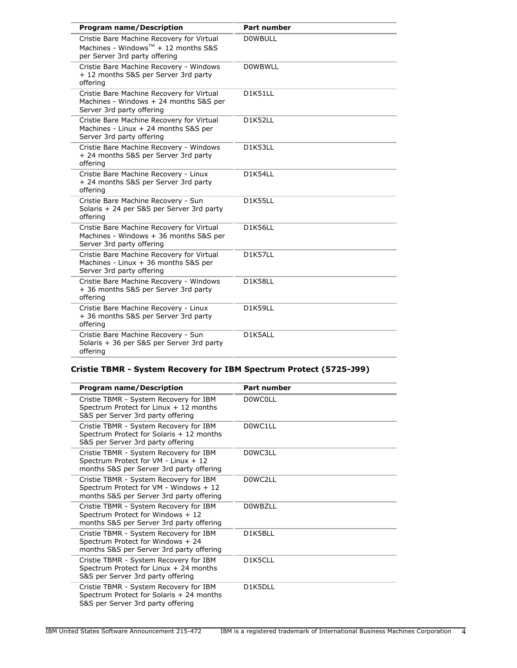| <b>Program name/Description</b>                                                                                                | <b>Part number</b> |
|--------------------------------------------------------------------------------------------------------------------------------|--------------------|
| Cristie Bare Machine Recovery for Virtual<br>Machines - Windows <sup>TM</sup> + 12 months S&S<br>per Server 3rd party offering | <b>DOWBULL</b>     |
| Cristie Bare Machine Recovery - Windows<br>+ 12 months S&S per Server 3rd party<br>offering                                    | <b>DOWBWLL</b>     |
| Cristie Bare Machine Recovery for Virtual<br>Machines - Windows + 24 months S&S per<br>Server 3rd party offering               | D1K51LL            |
| Cristie Bare Machine Recovery for Virtual<br>Machines - Linux + 24 months S&S per<br>Server 3rd party offering                 | D1K52LL            |
| Cristie Bare Machine Recovery - Windows<br>+ 24 months S&S per Server 3rd party<br>offering                                    | D1K53LL            |
| Cristie Bare Machine Recovery - Linux<br>+ 24 months S&S per Server 3rd party<br>offering                                      | D1K54LL            |
| Cristie Bare Machine Recovery - Sun<br>Solaris + 24 per S&S per Server 3rd party<br>offering                                   | D1K55LL            |
| Cristie Bare Machine Recovery for Virtual<br>Machines - Windows + 36 months S&S per<br>Server 3rd party offering               | <b>D1K56LL</b>     |
| Cristie Bare Machine Recovery for Virtual<br>Machines - Linux + 36 months S&S per<br>Server 3rd party offering                 | D1K57LL            |
| Cristie Bare Machine Recovery - Windows<br>+ 36 months S&S per Server 3rd party<br>offering                                    | D1K58LL            |
| Cristie Bare Machine Recovery - Linux<br>+ 36 months S&S per Server 3rd party<br>offering                                      | D1K59LL            |
| Cristie Bare Machine Recovery - Sun<br>Solaris + 36 per S&S per Server 3rd party<br>offering                                   | D1K5ALL            |

## **Cristie TBMR - System Recovery for IBM Spectrum Protect (5725-J99)**

| <b>Program name/Description</b>                                                                                              | <b>Part number</b> |
|------------------------------------------------------------------------------------------------------------------------------|--------------------|
| Cristie TBMR - System Recovery for IBM<br>Spectrum Protect for Linux + 12 months<br>S&S per Server 3rd party offering        | <b>DOWCOLL</b>     |
| Cristie TBMR - System Recovery for IBM<br>Spectrum Protect for Solaris + 12 months<br>S&S per Server 3rd party offering      | D0WC1LL            |
| Cristie TBMR - System Recovery for IBM<br>Spectrum Protect for VM - Linux + 12<br>months S&S per Server 3rd party offering   | D0WC3LL            |
| Cristie TBMR - System Recovery for IBM<br>Spectrum Protect for VM - Windows + 12<br>months S&S per Server 3rd party offering | D0WC2LL            |
| Cristie TBMR - System Recovery for IBM<br>Spectrum Protect for Windows + 12<br>months S&S per Server 3rd party offering      | <b>DOWBZLL</b>     |
| Cristie TBMR - System Recovery for IBM<br>Spectrum Protect for Windows + 24<br>months S&S per Server 3rd party offering      | D1K5BLL            |
| Cristie TBMR - System Recovery for IBM<br>Spectrum Protect for Linux $+$ 24 months<br>S&S per Server 3rd party offering      | D1K5CLL            |
| Cristie TBMR - System Recovery for IBM<br>Spectrum Protect for Solaris + 24 months<br>S&S per Server 3rd party offering      | D1K5DLL            |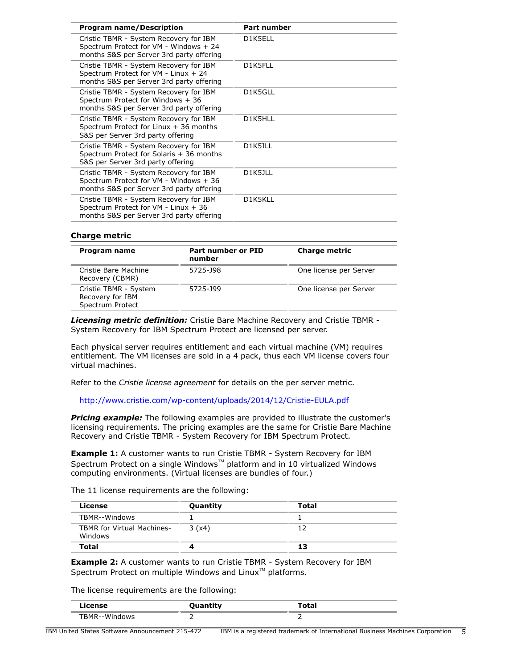| <b>Program name/Description</b>                                                                                              | <b>Part number</b> |
|------------------------------------------------------------------------------------------------------------------------------|--------------------|
| Cristie TBMR - System Recovery for IBM<br>Spectrum Protect for VM - Windows + 24<br>months S&S per Server 3rd party offering | D1K5ELL            |
| Cristie TBMR - System Recovery for IBM<br>Spectrum Protect for VM - Linux + 24<br>months S&S per Server 3rd party offering   | D1K5FLL            |
| Cristie TBMR - System Recovery for IBM<br>Spectrum Protect for Windows + 36<br>months S&S per Server 3rd party offering      | D1K5GLL            |
| Cristie TBMR - System Recovery for IBM<br>Spectrum Protect for Linux $+36$ months<br>S&S per Server 3rd party offering       | D1K5HLL            |
| Cristie TBMR - System Recovery for IBM<br>Spectrum Protect for Solaris + 36 months<br>S&S per Server 3rd party offering      | D1K5ILL            |
| Cristie TBMR - System Recovery for IBM<br>Spectrum Protect for VM - Windows + 36<br>months S&S per Server 3rd party offering | D1K5JLL            |
| Cristie TBMR - System Recovery for IBM<br>Spectrum Protect for VM - Linux + 36<br>months S&S per Server 3rd party offering   | D1K5KLL            |
|                                                                                                                              |                    |

#### **Charge metric**

| Program name                                                  | Part number or PID<br>number | <b>Charge metric</b>   |
|---------------------------------------------------------------|------------------------------|------------------------|
| Cristie Bare Machine<br>Recovery (CBMR)                       | 5725-J98                     | One license per Server |
| Cristie TBMR - System<br>Recovery for IBM<br>Spectrum Protect | 5725-J99                     | One license per Server |

*Licensing metric definition:* Cristie Bare Machine Recovery and Cristie TBMR - System Recovery for IBM Spectrum Protect are licensed per server.

Each physical server requires entitlement and each virtual machine (VM) requires entitlement. The VM licenses are sold in a 4 pack, thus each VM license covers four virtual machines.

Refer to the *Cristie license agreement* for details on the per server metric.

<http://www.cristie.com/wp-content/uploads/2014/12/Cristie-EULA.pdf>

*Pricing example:* The following examples are provided to illustrate the customer's licensing requirements. The pricing examples are the same for Cristie Bare Machine Recovery and Cristie TBMR - System Recovery for IBM Spectrum Protect.

**Example 1:** A customer wants to run Cristie TBMR - System Recovery for IBM Spectrum Protect on a single Windows<sup>TM</sup> platform and in 10 virtualized Windows computing environments. (Virtual licenses are bundles of four.)

The 11 license requirements are the following:

| License                                      | Quantity | Total |
|----------------------------------------------|----------|-------|
| TBMR--Windows                                |          |       |
| <b>TBMR</b> for Virtual Machines-<br>Windows | 3(x4)    | 17    |
| Total                                        |          | 13    |

**Example 2:** A customer wants to run Cristie TBMR - System Recovery for IBM Spectrum Protect on multiple Windows and Linux<sup>TM</sup> platforms.

The license requirements are the following:

| License            | <b>Ouantity</b><br>Quantity | <b>Total</b> |
|--------------------|-----------------------------|--------------|
| FBMR--Wind<br>'ows |                             |              |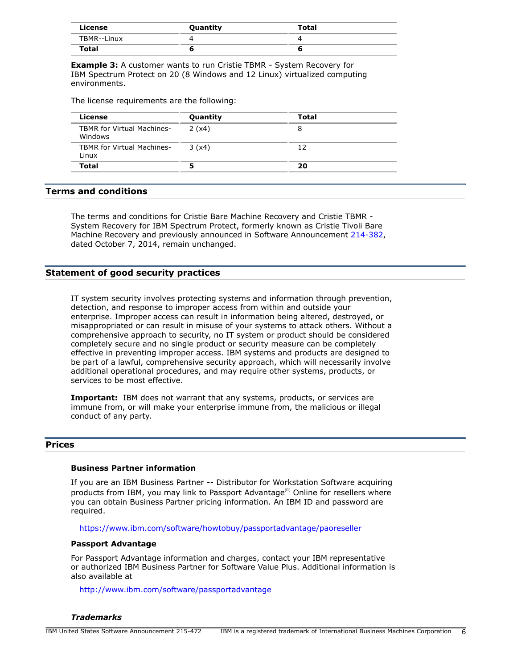| License     | Quantity | <b>Total</b> |
|-------------|----------|--------------|
| TBMR--Linux |          |              |
| Total       |          |              |

**Example 3:** A customer wants to run Cristie TBMR - System Recovery for IBM Spectrum Protect on 20 (8 Windows and 12 Linux) virtualized computing environments.

The license requirements are the following:

| License                                      | Quantity | Total |  |
|----------------------------------------------|----------|-------|--|
| <b>TBMR</b> for Virtual Machines-<br>Windows | 2(x4)    | 8     |  |
| <b>TBMR for Virtual Machines-</b><br>Linux   | 3(x4)    | 12    |  |
| <b>Total</b>                                 |          | 20    |  |

### <span id="page-5-0"></span>**Terms and conditions**

The terms and conditions for Cristie Bare Machine Recovery and Cristie TBMR - System Recovery for IBM Spectrum Protect, formerly known as Cristie Tivoli Bare Machine Recovery and previously announced in Software Announcement [214-382,](http://www.ibm.com/common/ssi/cgi-bin/ssialias?infotype=an&subtype=ca&appname=gpateam&supplier=897&letternum=ENUS214-382) dated October 7, 2014, remain unchanged.

#### **Statement of good security practices**

IT system security involves protecting systems and information through prevention, detection, and response to improper access from within and outside your enterprise. Improper access can result in information being altered, destroyed, or misappropriated or can result in misuse of your systems to attack others. Without a comprehensive approach to security, no IT system or product should be considered completely secure and no single product or security measure can be completely effective in preventing improper access. IBM systems and products are designed to be part of a lawful, comprehensive security approach, which will necessarily involve additional operational procedures, and may require other systems, products, or services to be most effective.

**Important:** IBM does not warrant that any systems, products, or services are immune from, or will make your enterprise immune from, the malicious or illegal conduct of any party.

#### <span id="page-5-1"></span>**Prices**

### **Business Partner information**

If you are an IBM Business Partner -- Distributor for Workstation Software acquiring products from IBM, you may link to Passport Advantage<sup>(R)</sup> Online for resellers where you can obtain Business Partner pricing information. An IBM ID and password are required.

<https://www.ibm.com/software/howtobuy/passportadvantage/paoreseller>

#### **Passport Advantage**

For Passport Advantage information and charges, contact your IBM representative or authorized IBM Business Partner for Software Value Plus. Additional information is also available at

<http://www.ibm.com/software/passportadvantage>

*Trademarks*